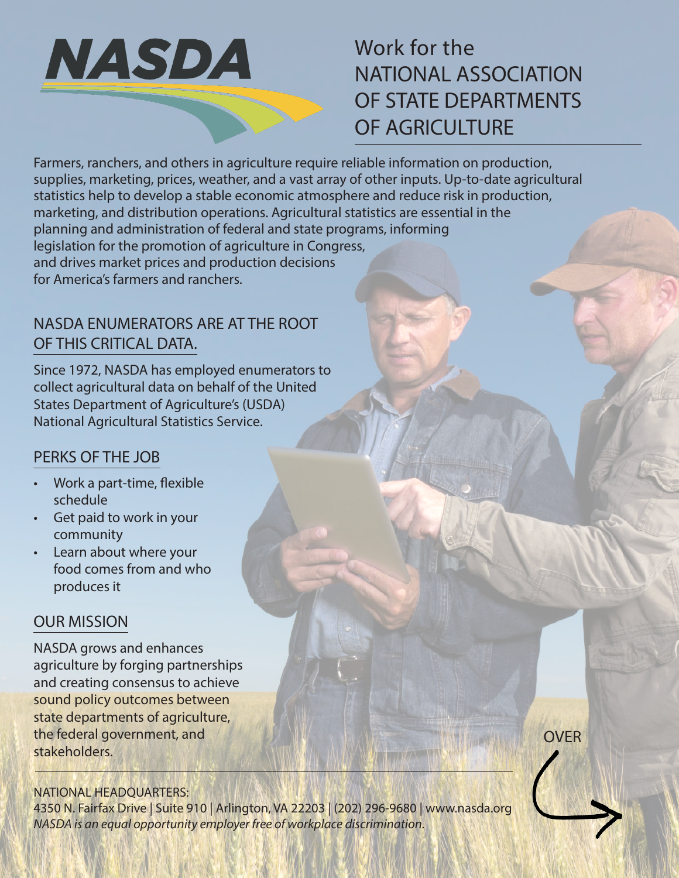

# Work for the NATIONAL ASSOCIATION OF STATE DEPARTMENTS OF AGRICULTURE

Farmers, ranchers, and others in agriculture require reliable information on production, supplies, marketing, prices, weather, and a vast array of other inputs. Up-to-date agricultural statistics help to develop a stable economic atmosphere and reduce risk in production, marketing, and distribution operations. Agricultural statistics are essential in the planning and administration of federal and state programs, informing legislation for the promotion of agriculture in Congress, and drives market prices and production decisions for America's farmers and ranchers.

## NASDA ENUMERATORS ARE AT THE ROOT OF THIS CRITICAL DATA.

Since 1972, NASDA has employed enumerators to collect agricultural data on behalf of the United States Department of Agriculture's (USDA) National Agricultural Statistics Service.

# PERKS OF THE JOB

- Work a part-time, flexible schedule
- Get paid to work in your community
- Learn about where your food comes from and who produces it

#### OUR MISSION

NASDA grows and enhances agriculture by forging partnerships and creating consensus to achieve sound policy outcomes between state departments of agriculture, the federal government, and stakeholders.

NATIONAL HEADQUARTERS:

4350 N. Fairfax Drive | Suite 910 | Arlington, VA 22203 | (202) 296-9680 | www.nasda.org *NASDA is an equal opportunity employer free of workplace discrimination.*

OVER

**THE WAY**